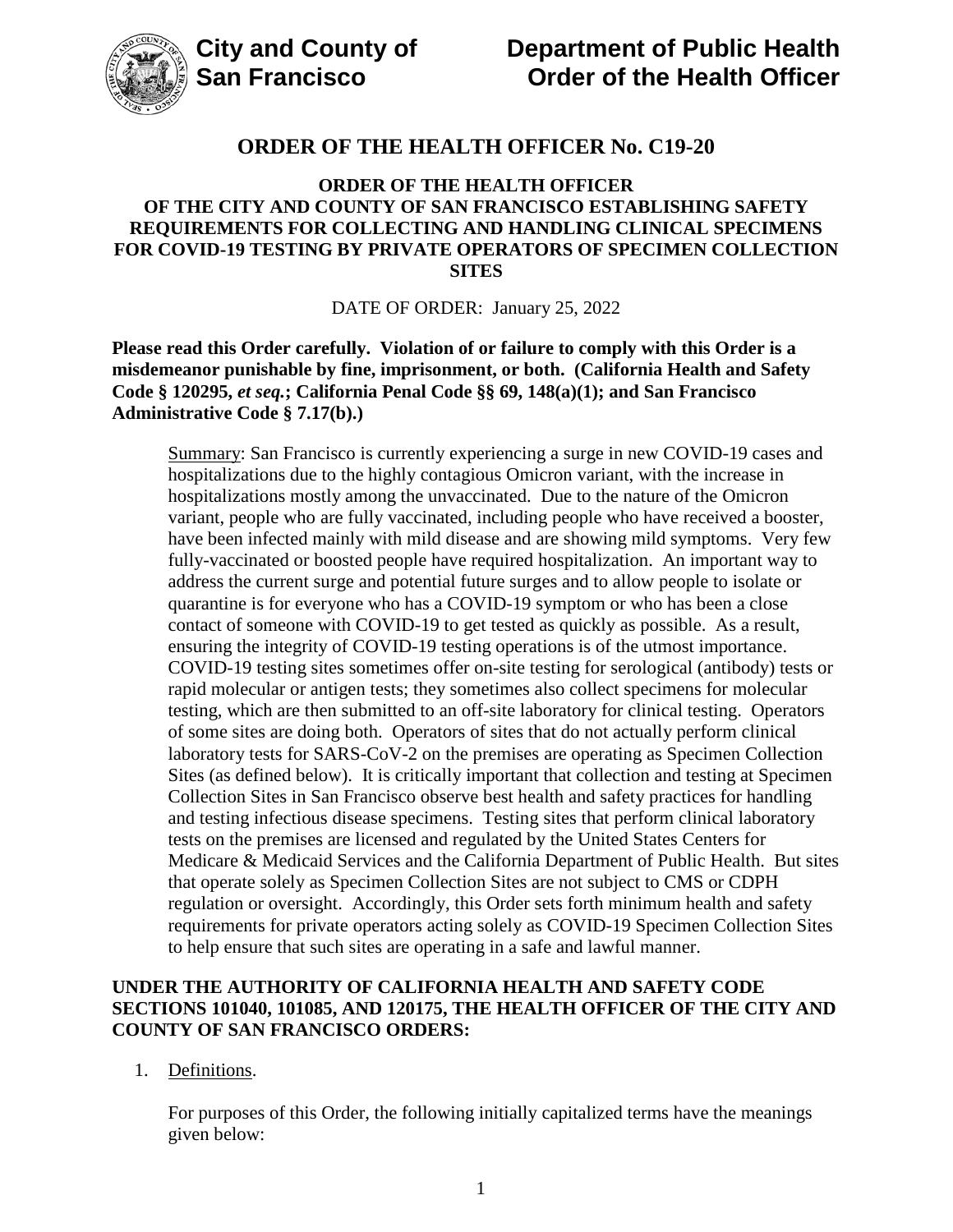

### **ORDER OF THE HEALTH OFFICER OF THE CITY AND COUNTY OF SAN FRANCISCO ESTABLISHING SAFETY REQUIREMENTS FOR COLLECTING AND HANDLING CLINICAL SPECIMENS FOR COVID-19 TESTING BY PRIVATE OPERATORS OF SPECIMEN COLLECTION SITES**

DATE OF ORDER: January 25, 2022

**Please read this Order carefully. Violation of or failure to comply with this Order is a misdemeanor punishable by fine, imprisonment, or both. (California Health and Safety Code § 120295,** *et seq.***; California Penal Code §§ 69, 148(a)(1); and San Francisco Administrative Code § 7.17(b).)**

Summary: San Francisco is currently experiencing a surge in new COVID-19 cases and hospitalizations due to the highly contagious Omicron variant, with the increase in hospitalizations mostly among the unvaccinated. Due to the nature of the Omicron variant, people who are fully vaccinated, including people who have received a booster, have been infected mainly with mild disease and are showing mild symptoms. Very few fully-vaccinated or boosted people have required hospitalization. An important way to address the current surge and potential future surges and to allow people to isolate or quarantine is for everyone who has a COVID-19 symptom or who has been a close contact of someone with COVID-19 to get tested as quickly as possible. As a result, ensuring the integrity of COVID-19 testing operations is of the utmost importance. COVID-19 testing sites sometimes offer on-site testing for serological (antibody) tests or rapid molecular or antigen tests; they sometimes also collect specimens for molecular testing, which are then submitted to an off-site laboratory for clinical testing. Operators of some sites are doing both. Operators of sites that do not actually perform clinical laboratory tests for SARS-CoV-2 on the premises are operating as Specimen Collection Sites (as defined below). It is critically important that collection and testing at Specimen Collection Sites in San Francisco observe best health and safety practices for handling and testing infectious disease specimens. Testing sites that perform clinical laboratory tests on the premises are licensed and regulated by the United States Centers for Medicare & Medicaid Services and the California Department of Public Health. But sites that operate solely as Specimen Collection Sites are not subject to CMS or CDPH regulation or oversight. Accordingly, this Order sets forth minimum health and safety requirements for private operators acting solely as COVID-19 Specimen Collection Sites to help ensure that such sites are operating in a safe and lawful manner.

### **UNDER THE AUTHORITY OF CALIFORNIA HEALTH AND SAFETY CODE SECTIONS 101040, 101085, AND 120175, THE HEALTH OFFICER OF THE CITY AND COUNTY OF SAN FRANCISCO ORDERS:**

1. Definitions.

For purposes of this Order, the following initially capitalized terms have the meanings given below: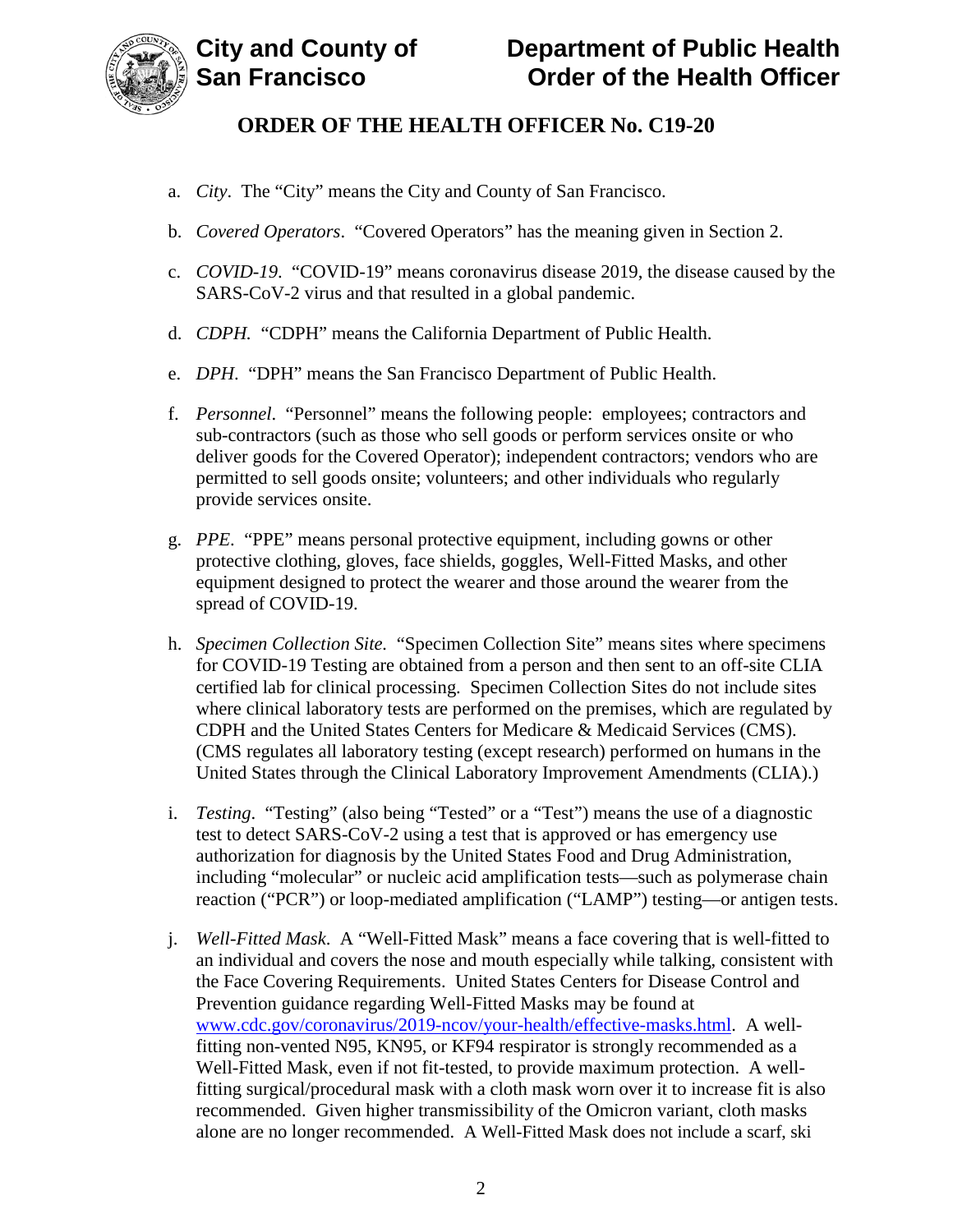

- a. *City*. The "City" means the City and County of San Francisco.
- b. *Covered Operators*. "Covered Operators" has the meaning given in Section 2.
- c. *COVID-19*. "COVID-19" means coronavirus disease 2019, the disease caused by the SARS-CoV-2 virus and that resulted in a global pandemic.
- d. *CDPH.* "CDPH" means the California Department of Public Health.
- e. *DPH*. "DPH" means the San Francisco Department of Public Health.
- f. *Personnel*."Personnel" means the following people: employees; contractors and sub-contractors (such as those who sell goods or perform services onsite or who deliver goods for the Covered Operator); independent contractors; vendors who are permitted to sell goods onsite; volunteers; and other individuals who regularly provide services onsite.
- g. *PPE*. "PPE" means personal protective equipment, including gowns or other protective clothing, gloves, face shields, goggles, Well-Fitted Masks, and other equipment designed to protect the wearer and those around the wearer from the spread of COVID-19.
- h. *Specimen Collection Site.* "Specimen Collection Site" means sites where specimens for COVID-19 Testing are obtained from a person and then sent to an off-site CLIA certified lab for clinical processing. Specimen Collection Sites do not include sites where clinical laboratory tests are performed on the premises, which are regulated by CDPH and the United States Centers for Medicare & Medicaid Services (CMS). (CMS regulates all laboratory testing (except research) performed on humans in the United States through the Clinical Laboratory Improvement Amendments (CLIA).)
- i. *Testing*. "Testing" (also being "Tested" or a "Test") means the use of a diagnostic test to detect SARS-CoV-2 using a test that is approved or has emergency use authorization for diagnosis by the United States Food and Drug Administration, including "molecular" or nucleic acid amplification tests—such as polymerase chain reaction ("PCR") or loop-mediated amplification ("LAMP") testing—or antigen tests.
- j. *Well-Fitted Mask*. A "Well-Fitted Mask" means a face covering that is well-fitted to an individual and covers the nose and mouth especially while talking, consistent with the Face Covering Requirements. United States Centers for Disease Control and Prevention guidance regarding Well-Fitted Masks may be found at www.cdc.gov/coronavirus/2019-ncov/your-health/effective-masks.html. A wellfitting non-vented N95, KN95, or KF94 respirator is strongly recommended as a Well-Fitted Mask, even if not fit-tested, to provide maximum protection. A wellfitting surgical/procedural mask with a cloth mask worn over it to increase fit is also recommended. Given higher transmissibility of the Omicron variant, cloth masks alone are no longer recommended. A Well-Fitted Mask does not include a scarf, ski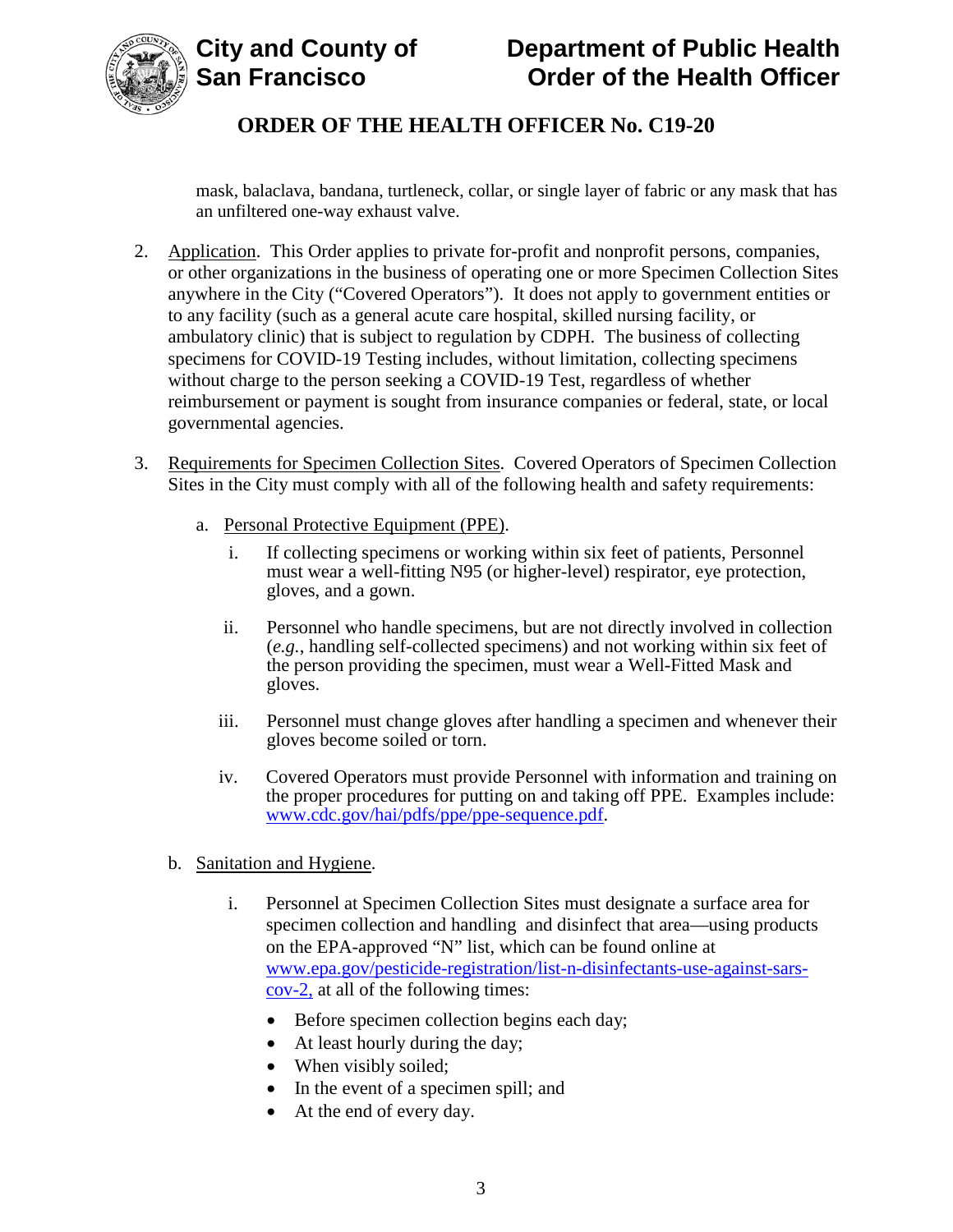

mask, balaclava, bandana, turtleneck, collar, or single layer of fabric or any mask that has an unfiltered one-way exhaust valve.

- 2. Application. This Order applies to private for-profit and nonprofit persons, companies, or other organizations in the business of operating one or more Specimen Collection Sites anywhere in the City ("Covered Operators"). It does not apply to government entities or to any facility (such as a general acute care hospital, skilled nursing facility, or ambulatory clinic) that is subject to regulation by CDPH. The business of collecting specimens for COVID-19 Testing includes, without limitation, collecting specimens without charge to the person seeking a COVID-19 Test, regardless of whether reimbursement or payment is sought from insurance companies or federal, state, or local governmental agencies.
- 3. Requirements for Specimen Collection Sites. Covered Operators of Specimen Collection Sites in the City must comply with all of the following health and safety requirements:
	- a. Personal Protective Equipment (PPE).
		- i. If collecting specimens or working within six feet of patients, Personnel must wear a well-fitting N95 (or higher-level) respirator, eye protection, gloves, and a gown.
		- ii. Personnel who handle specimens, but are not directly involved in collection (*e.g.*, handling self-collected specimens) and not working within six feet of the person providing the specimen, must wear a Well-Fitted Mask and gloves.
		- iii. Personnel must change gloves after handling a specimen and whenever their gloves become soiled or torn.
		- iv. Covered Operators must provide Personnel with information and training on the proper procedures for putting on and taking off PPE. Examples include: www.cdc.gov/hai/pdfs/ppe/ppe-sequence.pdf.
	- b. Sanitation and Hygiene.
		- i. Personnel at Specimen Collection Sites must designate a surface area for specimen collection and handling and disinfect that area—using products on the EPA-approved "N" list, which can be found online at www.epa.gov/pesticide-registration/list-n-disinfectants-use-against-sarscov-2, at all of the following times:
			- Before specimen collection begins each day;
			- At least hourly during the day;
			- When visibly soiled;
			- In the event of a specimen spill; and
			- At the end of every day.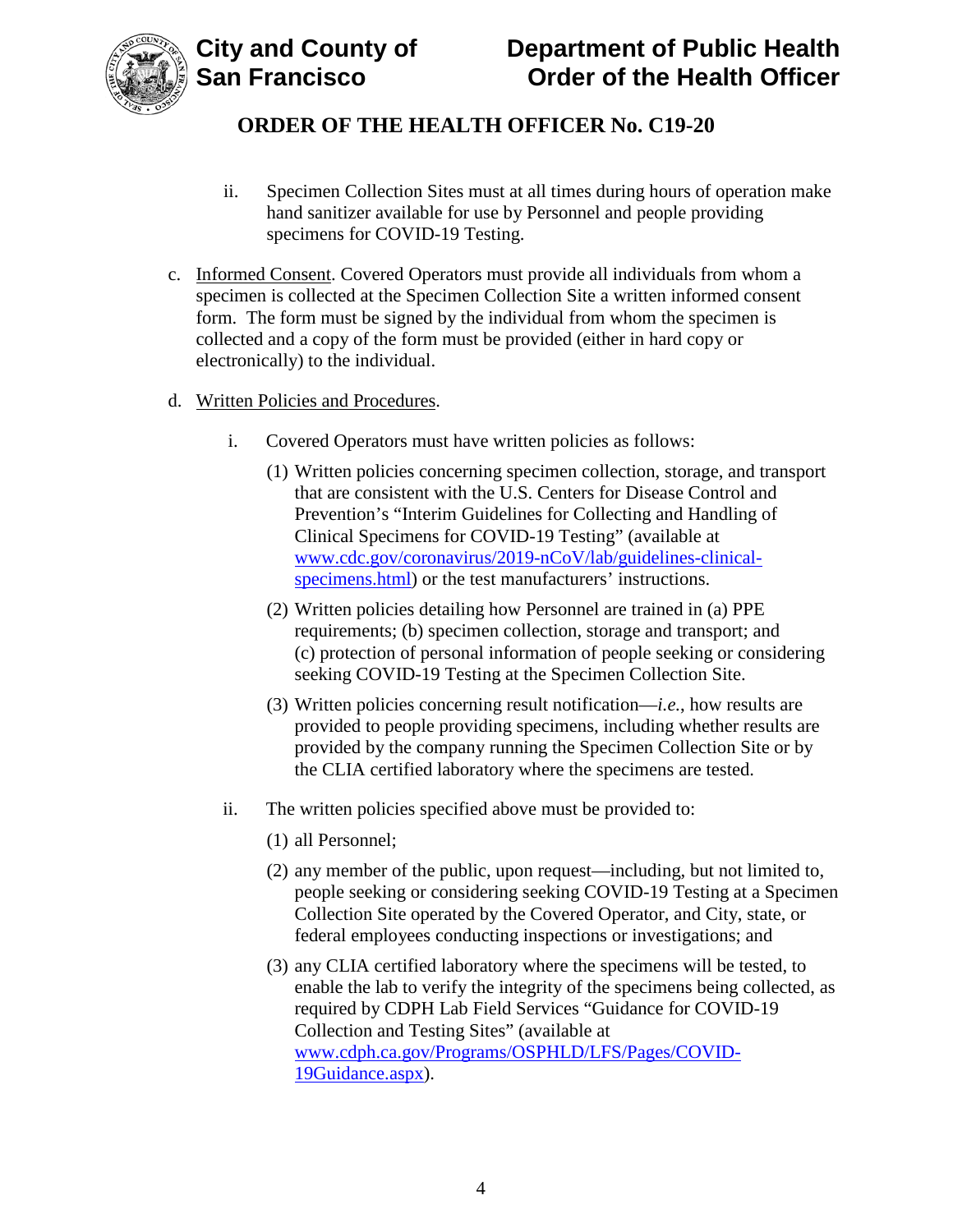

- ii. Specimen Collection Sites must at all times during hours of operation make hand sanitizer available for use by Personnel and people providing specimens for COVID-19 Testing.
- c. Informed Consent. Covered Operators must provide all individuals from whom a specimen is collected at the Specimen Collection Site a written informed consent form. The form must be signed by the individual from whom the specimen is collected and a copy of the form must be provided (either in hard copy or electronically) to the individual.
- d. Written Policies and Procedures.
	- i. Covered Operators must have written policies as follows:
		- (1) Written policies concerning specimen collection, storage, and transport that are consistent with the U.S. Centers for Disease Control and Prevention's "Interim Guidelines for Collecting and Handling of Clinical Specimens for COVID-19 Testing" (available at www.cdc.gov/coronavirus/2019-nCoV/lab/guidelines-clinicalspecimens.html) or the test manufacturers' instructions.
		- (2) Written policies detailing how Personnel are trained in (a) PPE requirements; (b) specimen collection, storage and transport; and (c) protection of personal information of people seeking or considering seeking COVID-19 Testing at the Specimen Collection Site.
		- (3) Written policies concerning result notification—*i.e.*, how results are provided to people providing specimens, including whether results are provided by the company running the Specimen Collection Site or by the CLIA certified laboratory where the specimens are tested.
	- ii. The written policies specified above must be provided to:
		- (1) all Personnel;
		- (2) any member of the public, upon request—including, but not limited to, people seeking or considering seeking COVID-19 Testing at a Specimen Collection Site operated by the Covered Operator, and City, state, or federal employees conducting inspections or investigations; and
		- (3) any CLIA certified laboratory where the specimens will be tested, to enable the lab to verify the integrity of the specimens being collected, as required by CDPH Lab Field Services "Guidance for COVID-19 Collection and Testing Sites" (available at www.cdph.ca.gov/Programs/OSPHLD/LFS/Pages/COVID-19Guidance.aspx).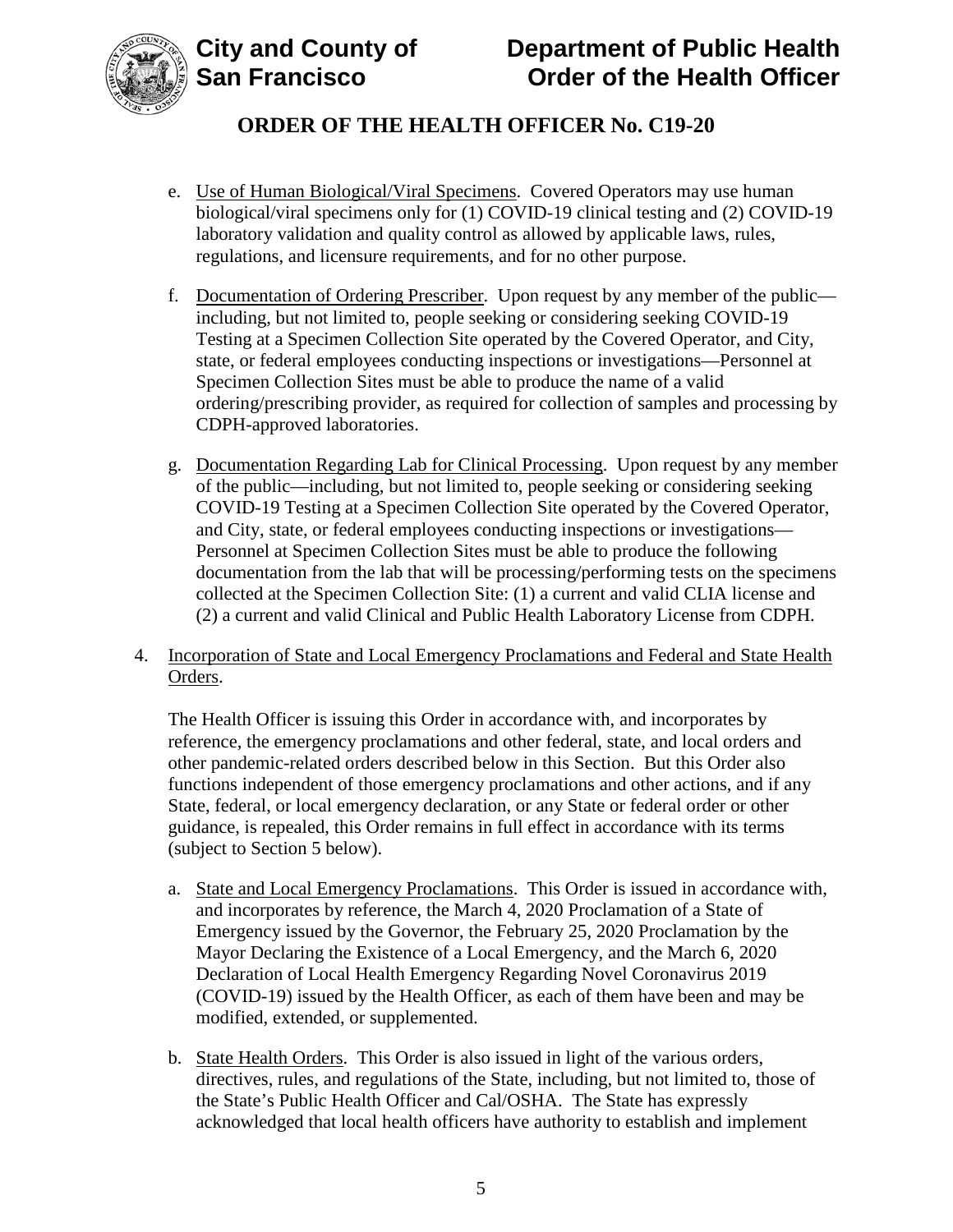

- e. Use of Human Biological/Viral Specimens. Covered Operators may use human biological/viral specimens only for (1) COVID-19 clinical testing and (2) COVID-19 laboratory validation and quality control as allowed by applicable laws, rules, regulations, and licensure requirements, and for no other purpose.
- f. Documentation of Ordering Prescriber. Upon request by any member of the public including, but not limited to, people seeking or considering seeking COVID-19 Testing at a Specimen Collection Site operated by the Covered Operator, and City, state, or federal employees conducting inspections or investigations—Personnel at Specimen Collection Sites must be able to produce the name of a valid ordering/prescribing provider, as required for collection of samples and processing by CDPH-approved laboratories.
- g. Documentation Regarding Lab for Clinical Processing. Upon request by any member of the public—including, but not limited to, people seeking or considering seeking COVID-19 Testing at a Specimen Collection Site operated by the Covered Operator, and City, state, or federal employees conducting inspections or investigations— Personnel at Specimen Collection Sites must be able to produce the following documentation from the lab that will be processing/performing tests on the specimens collected at the Specimen Collection Site: (1) a current and valid CLIA license and (2) a current and valid Clinical and Public Health Laboratory License from CDPH.
- 4. Incorporation of State and Local Emergency Proclamations and Federal and State Health Orders.

The Health Officer is issuing this Order in accordance with, and incorporates by reference, the emergency proclamations and other federal, state, and local orders and other pandemic-related orders described below in this Section. But this Order also functions independent of those emergency proclamations and other actions, and if any State, federal, or local emergency declaration, or any State or federal order or other guidance, is repealed, this Order remains in full effect in accordance with its terms (subject to Section 5 below).

- a. State and Local Emergency Proclamations. This Order is issued in accordance with, and incorporates by reference, the March 4, 2020 Proclamation of a State of Emergency issued by the Governor, the February 25, 2020 Proclamation by the Mayor Declaring the Existence of a Local Emergency, and the March 6, 2020 Declaration of Local Health Emergency Regarding Novel Coronavirus 2019 (COVID-19) issued by the Health Officer, as each of them have been and may be modified, extended, or supplemented.
- b. State Health Orders. This Order is also issued in light of the various orders, directives, rules, and regulations of the State, including, but not limited to, those of the State's Public Health Officer and Cal/OSHA. The State has expressly acknowledged that local health officers have authority to establish and implement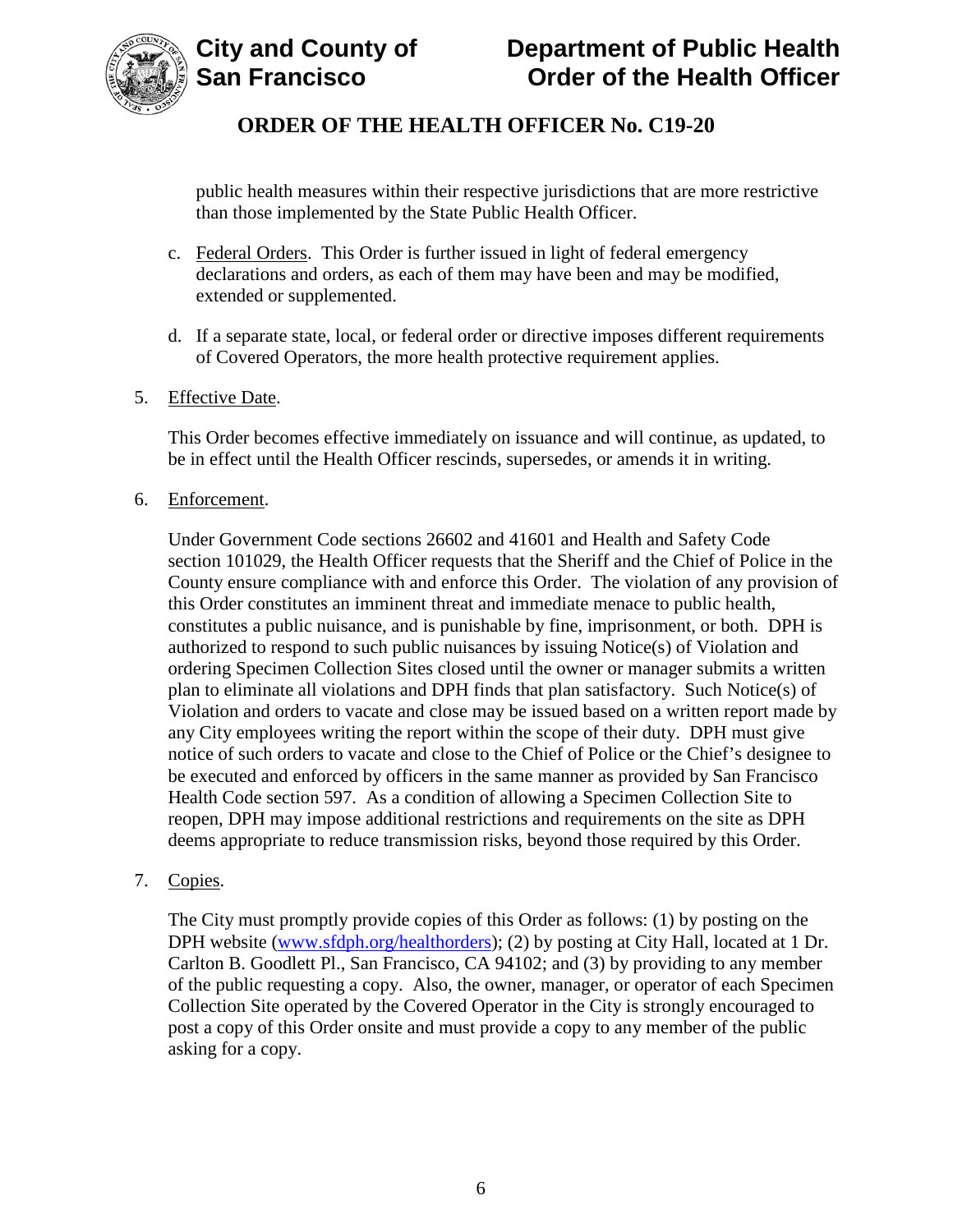

public health measures within their respective jurisdictions that are more restrictive than those implemented by the State Public Health Officer.

- c. Federal Orders. This Order is further issued in light of federal emergency declarations and orders, as each of them may have been and may be modified, extended or supplemented.
- d. If a separate state, local, or federal order or directive imposes different requirements of Covered Operators, the more health protective requirement applies.
- 5. Effective Date.

This Order becomes effective immediately on issuance and will continue, as updated, to be in effect until the Health Officer rescinds, supersedes, or amends it in writing.

6. Enforcement.

Under Government Code sections 26602 and 41601 and Health and Safety Code section 101029, the Health Officer requests that the Sheriff and the Chief of Police in the County ensure compliance with and enforce this Order. The violation of any provision of this Order constitutes an imminent threat and immediate menace to public health, constitutes a public nuisance, and is punishable by fine, imprisonment, or both. DPH is authorized to respond to such public nuisances by issuing Notice(s) of Violation and ordering Specimen Collection Sites closed until the owner or manager submits a written plan to eliminate all violations and DPH finds that plan satisfactory. Such Notice(s) of Violation and orders to vacate and close may be issued based on a written report made by any City employees writing the report within the scope of their duty. DPH must give notice of such orders to vacate and close to the Chief of Police or the Chief's designee to be executed and enforced by officers in the same manner as provided by San Francisco Health Code section 597. As a condition of allowing a Specimen Collection Site to reopen, DPH may impose additional restrictions and requirements on the site as DPH deems appropriate to reduce transmission risks, beyond those required by this Order.

7. Copies.

The City must promptly provide copies of this Order as follows: (1) by posting on the DPH website (www.sfdph.org/healthorders); (2) by posting at City Hall, located at 1 Dr. Carlton B. Goodlett Pl., San Francisco, CA 94102; and (3) by providing to any member of the public requesting a copy. Also, the owner, manager, or operator of each Specimen Collection Site operated by the Covered Operator in the City is strongly encouraged to post a copy of this Order onsite and must provide a copy to any member of the public asking for a copy.